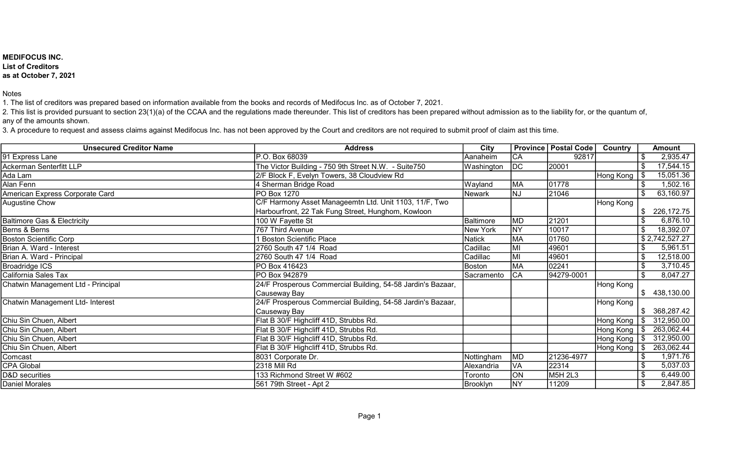## MEDIFOCUS INC. List of Creditors as at October 7, 2021

Notes

1. The list of creditors was prepared based on information available from the books and records of Medifocus Inc. as of October 7, 2021.

2. This list is provided pursuant to section 23(1)(a) of the CCAA and the regulations made thereunder. This list of creditors has been prepared without admission as to the liability for, or the quantum of, any of the amounts shown.

3. A procedure to request and assess claims against Medifocus Inc. has not been approved by the Court and creditors are not required to submit proof of claim ast this time.

| <b>Unsecured Creditor Name</b>         | <b>Address</b>                                              | City          |                 | <b>Province   Postal Code</b> | <b>Country</b>       | <b>Amount</b>           |
|----------------------------------------|-------------------------------------------------------------|---------------|-----------------|-------------------------------|----------------------|-------------------------|
| 91 Express Lane                        | P.O. Box 68039                                              | Aanaheim      | $\overline{CA}$ | 92817                         |                      | 2,935.47                |
| Ackerman Senterfitt LLP                | The Victor Building - 750 9th Street N.W. - Suite750        | Washington    | <b>DC</b>       | 20001                         |                      | 17,544.15               |
| Ada Lam                                | 2/F Block F, Evelyn Towers, 38 Cloudview Rd                 |               |                 |                               | Hong Kong            | $\sqrt{3}$<br>15,051.36 |
| Alan Fenn                              | 4 Sherman Bridge Road                                       | Wayland       | <b>MA</b>       | 01778                         |                      | 1,502.16                |
| American Express Corporate Card        | PO Box 1270                                                 | Newark        | NJ              | 21046                         |                      | 63,160.97               |
| Augustine Chow                         | C/F Harmony Asset Manageemtn Ltd. Unit 1103, 11/F, Two      |               |                 |                               | Hong Kong            |                         |
|                                        | Harbourfront, 22 Tak Fung Street, Hunghom, Kowloon          |               |                 |                               |                      | 226,172.75<br>\$        |
| <b>Baltimore Gas &amp; Electricity</b> | 100 W Fayette St                                            | Baltimore     | <b>MD</b>       | 21201                         |                      | 6,876.10                |
| Berns & Berns                          | 767 Third Avenue                                            | New York      | <b>NY</b>       | 10017                         |                      | 18,392.07               |
| <b>Boston Scientific Corp</b>          | 1 Boston Scientific Place                                   | <b>Natick</b> | <b>MA</b>       | 01760                         |                      | \$2,742,527.27          |
| Brian A. Ward - Interest               | 2760 South 47 1/4 Road                                      | Cadillac      | MI              | 49601                         |                      | 5,961.51                |
| Brian A. Ward - Principal              | 2760 South 47 1/4 Road                                      | Cadillac      | MI              | 49601                         |                      | \$<br>12,518.00         |
| <b>Broadridge ICS</b>                  | PO Box 416423                                               | Boston        | <b>MA</b>       | 02241                         |                      | 3,710.45                |
| California Sales Tax                   | PO Box 942879                                               | Sacramento    | <b>CA</b>       | 94279-0001                    |                      | 8,047.27                |
| Chatwin Management Ltd - Principal     | 24/F Prosperous Commercial Building, 54-58 Jardin's Bazaar, |               |                 |                               | Hong Kong            |                         |
|                                        | Causeway Bay                                                |               |                 |                               |                      | \$438,130.00            |
| Chatwin Management Ltd- Interest       | 24/F Prosperous Commercial Building, 54-58 Jardin's Bazaar, |               |                 |                               | Hong Kong            |                         |
|                                        | Causeway Bay                                                |               |                 |                               |                      | 368,287.42              |
| Chiu Sin Chuen, Albert                 | Flat B 30/F Highcliff 41D, Strubbs Rd.                      |               |                 |                               | Hong Kong            | 312,950.00<br>\$        |
| Chiu Sin Chuen, Albert                 | Flat B 30/F Highcliff 41D, Strubbs Rd.                      |               |                 |                               | Hong Kong   \$       | 263,062.44              |
| Chiu Sin Chuen, Albert                 | Flat B 30/F Highcliff 41D, Strubbs Rd.                      |               |                 |                               | Hong Kong $\sqrt{8}$ | 312,950.00              |
| Chiu Sin Chuen, Albert                 | Flat B 30/F Highcliff 41D, Strubbs Rd.                      |               |                 |                               | Hong Kong   \$       | 263,062.44              |
| Comcast                                | 8031 Corporate Dr.                                          | Nottingham    | <b>MD</b>       | 21236-4977                    |                      | 1,971.76                |
| <b>CPA Global</b>                      | 2318 Mill Rd                                                | Alexandria    | VA              | 22314                         |                      | 5,037.03                |
| D&D securities                         | 133 Richmond Street W #602                                  | Toronto       | ON              | M5H 2L3                       |                      | 6,449.00<br>\$          |
| <b>Daniel Morales</b>                  | 561 79th Street - Apt 2                                     | Brooklyn      | <b>NY</b>       | 11209                         |                      | 2,847.85                |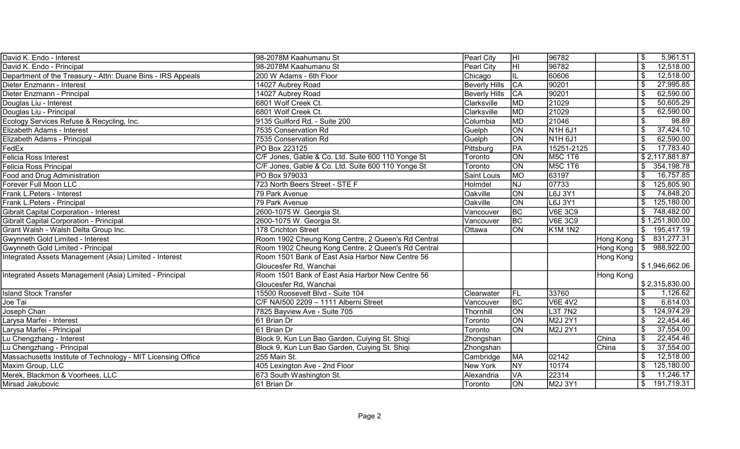| David K. Endo - Interest                                     | 98-2078M Kaahumanu St                              | Pearl City           | ΗI              | 96782                            |                | \$<br>5,961.51     |
|--------------------------------------------------------------|----------------------------------------------------|----------------------|-----------------|----------------------------------|----------------|--------------------|
| David K. Endo - Principal                                    | 98-2078M Kaahumanu St                              | Pearl City           | HI              | 96782                            |                | \$<br>12,518.00    |
| Department of the Treasury - Attn: Duane Bins - IRS Appeals  | 200 W Adams - 6th Floor                            | Chicago              |                 | 60606                            |                | 12,518.00<br>\$    |
| Dieter Enzmann - Interest                                    | 14027 Aubrey Road                                  | <b>Beverly Hills</b> | $\overline{CA}$ | 90201                            |                | 27,995.85<br>\$    |
| Dieter Enzmann - Principal                                   | 14027 Aubrey Road                                  | Beverly Hills        | $\overline{CA}$ | 90201                            |                | 62,590.00<br>\$    |
| Douglas Liu - Interest                                       | 6801 Wolf Creek Ct.                                | Clarksville          | <b>MD</b>       | 21029                            |                | 50,605.29<br>\$    |
| Douglas Liu - Principal                                      | 6801 Wolf Creek Ct.                                | Clarksville          | MD              | 21029                            |                | 62,590.00<br>\$    |
| Ecology Services Refuse & Recycling, Inc.                    | 9135 Guilford Rd. - Suite 200                      | Columbia             | <b>MD</b>       | 21046                            |                | 98.89<br>\$        |
| Elizabeth Adams - Interest                                   | 7535 Conservation Rd                               | Guelph               | ON              | N <sub>1</sub> H <sub>6J1</sub>  |                | 37,424.10<br>\$    |
| Elizabeth Adams - Principal                                  | 7535 Conservation Rd                               | Guelph               | ON              | N <sub>1</sub> H <sub>6J1</sub>  |                | 62,590.00<br>\$    |
| FedEx                                                        | PO Box 223125                                      | Pittsburg            | PA              | 15251-2125                       |                | 17,783.40<br>\$    |
| <b>Felicia Ross Interest</b>                                 | C/F Jones, Gable & Co. Ltd. Suite 600 110 Yonge St | Toronto              | ON              | <b>M5C 1T6</b>                   |                | \$2,117,881.87     |
| <b>Felicia Ross Principal</b>                                | C/F Jones, Gable & Co. Ltd. Suite 600 110 Yonge St | Toronto              | $\overline{ON}$ | <b>M5C 1T6</b>                   |                | 354, 198. 78<br>\$ |
| Food and Drug Administration                                 | PO Box 979033                                      | Saint Louis          | MO              | 63197                            |                | 16,757.85          |
| Forever Full Moon LLC                                        | 723 North Beers Street - STE F                     | Holmdel              | <b>NJ</b>       | 07733                            |                | 125,805.90         |
| Frank L.Peters - Interest                                    | 79 Park Avenue                                     | Oakville             | ON              | L6J 3Y1                          |                | 74,848.20<br>\$    |
| Frank L.Peters - Principal                                   | 79 Park Avenue                                     | Oakville             | ON              | L6J 3Y1                          |                | 125,180.00<br>\$   |
| <b>Gibralt Capital Corporation - Interest</b>                | 2600-1075 W. Georgia St.                           | Vancouver            | BC              | <b>V6E 3C9</b>                   |                | \$<br>748,482.00   |
| <b>Gibralt Capital Corporation - Principal</b>               | 2600-1075 W. Georgia St.                           | Vancouver            | $\overline{BC}$ | <b>V6E 3C9</b>                   |                | \$1,251,800.00     |
| Grant Walsh - Walsh Delta Group Inc.                         | 178 Crichton Street                                | Ottawa               | $\overline{ON}$ | <b>K1M 1N2</b>                   |                | 195,417.19<br>\$   |
| Gwynneth Gold Limited - Interest                             | Room 1902 Cheung Kong Centre, 2 Queen's Rd Central |                      |                 |                                  | Hong Kong      | 831,277.31<br>\$   |
| Gwynneth Gold Limited - Principal                            | Room 1902 Cheung Kong Centre, 2 Queen's Rd Central |                      |                 |                                  | Hong Kong   \$ | 988,922.00         |
| Integrated Assets Management (Asia) Limited - Interest       | Room 1501 Bank of East Asia Harbor New Centre 56   |                      |                 |                                  | Hong Kong      |                    |
|                                                              | Gloucesfer Rd, Wanchai                             |                      |                 |                                  |                | \$1,946,662.06     |
| Integrated Assets Management (Asia) Limited - Principal      | Room 1501 Bank of East Asia Harbor New Centre 56   |                      |                 |                                  | Hong Kong      |                    |
|                                                              | Gloucesfer Rd, Wanchai                             |                      |                 |                                  |                | \$2,315,830.00     |
| <b>Island Stock Transfer</b>                                 | 15500 Roosevelt Blvd - Suite 104                   | Clearwater           | FL              | 33760                            |                | \$<br>1,126.62     |
| Joe Tai                                                      | C/F NAI500 2209 - 1111 Alberni Street              | Vancouver            | BC              | <b>V6E 4V2</b>                   |                | \$<br>6,614.03     |
| Joseph Chan                                                  | 7825 Bayview Ave - Suite 705                       | Thornhill            | ON              | L <sub>3</sub> T 7N <sub>2</sub> |                | 124,974.29<br>\$   |
| Larysa Marfei - Interest                                     | 61 Brian Dr                                        | Toronto              | $\overline{ON}$ | M2J 2Y1                          |                | 22,454.46<br>\$    |
| Larysa Marfei - Principal                                    | 61 Brian Dr                                        | Toronto              | $\overline{ON}$ | M2J 2Y1                          |                | 37,554.00<br>\$    |
| Lu Chengzhang - Interest                                     | Block 9, Kun Lun Bao Garden, Cuiying St. Shiqi     | Zhongshan            |                 |                                  | China          | 22,454.46<br>\$    |
| Lu Chengzhang - Principal                                    | Block 9, Kun Lun Bao Garden, Cuiying St. Shiqi     | Zhongshan            |                 |                                  | China          | 37,554.00<br>\$    |
| Massachusetts Institute of Technology - MIT Licensing Office | 255 Main St.                                       | Cambridge            | MA              | 02142                            |                | 12,518.00<br>\$    |
| Maxim Group, LLC                                             | 405 Lexington Ave - 2nd Floor                      | New York             | <b>NY</b>       | 10174                            |                | 125,180.00<br>\$   |
| Merek, Blackmon & Voorhees, LLC                              | 673 South Washington St.                           | Alexandria           | <b>VA</b>       | 22314                            |                | 11,246.17<br>\$    |
| Mirsad Jakubovic                                             | 61 Brian Dr                                        | Toronto              | $\overline{ON}$ | M2J 3Y1                          |                | 191,719.31<br>\$   |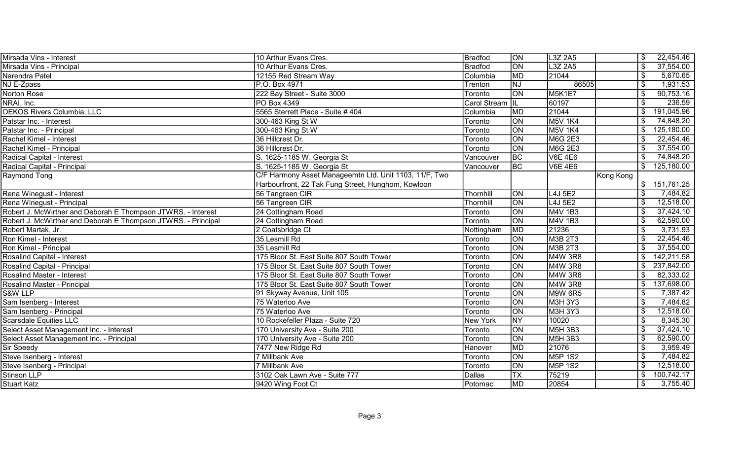| Mirsada Vins - Interest                                       | 10 Arthur Evans Cres.                                  | Bradfod          | <b>ON</b>                  | L3Z 2A5                |           | \$              | 22,454.46  |
|---------------------------------------------------------------|--------------------------------------------------------|------------------|----------------------------|------------------------|-----------|-----------------|------------|
| Mirsada Vins - Principal                                      | 10 Arthur Evans Cres.                                  | <b>Bradfod</b>   | $\overline{ON}$            | L3Z 2A5                |           | \$              | 37,554.00  |
| Narendra Patel                                                | 12155 Red Stream Way                                   | Columbia         | <b>MD</b>                  | 21044                  |           | \$              | 5,670.65   |
| NJ E-Zpass                                                    | P.O. Box 4971                                          | Trenton          | NJ                         | 86505                  |           | \$              | 1,931.53   |
| Norton Rose                                                   | 222 Bay Street - Suite 3000                            | Toronto          | $\overline{on}$            | M5K1E7                 |           | \$              | 90,753.16  |
| NRAI, Inc.                                                    | PO Box 4349                                            | Carol Stream  IL |                            | 60197                  |           | \$              | 236.59     |
| <b>OEKOS Rivers Columbia, LLC</b>                             | 5565 Sterrett Place - Suite # 404                      | Columbia         | <b>MD</b>                  | 21044                  |           |                 | 191,045.96 |
| Patstar Inc. - Interest                                       | 300-463 King St W                                      | Toronto          | ON                         | <b>M5V 1K4</b>         |           |                 | 74,848.20  |
| Patstar Inc. - Principal                                      | 300-463 King St W                                      | Toronto          | ON                         | <b>M5V 1K4</b>         |           |                 | 125,180.00 |
| Rachel Kimel - Interest                                       | 36 Hillcrest Dr.                                       | Toronto          | ON                         | <b>M6G 2E3</b>         |           |                 | 22,454.46  |
| Rachel Kimel - Principal                                      | 36 Hillcrest Dr.                                       | Toronto          | <b>ON</b>                  | <b>M6G 2E3</b>         |           |                 | 37,554.00  |
| Radical Capital - Interest                                    | S. 1625-1185 W. Georgia St                             | Vancouver        | BC                         | $\sqrt{\text{VE}}$ 4E6 |           |                 | 74,848.20  |
| Radical Capital - Principal                                   | S. 1625-1185 W. Georgia St                             | Vancouver        | BC                         | <b>V6E 4E6</b>         |           | \$              | 125,180.00 |
| Raymond Tong                                                  | C/F Harmony Asset Manageemtn Ltd. Unit 1103, 11/F, Two |                  |                            |                        | Kong Kong |                 |            |
|                                                               | Harbourfront, 22 Tak Fung Street, Hunghom, Kowloon     |                  |                            |                        |           | \$              | 151,761.25 |
| Rena Winegust - Interest                                      | 56 Tangreen CIR                                        | Thornhill        | <b>ON</b>                  | L4J 5E2                |           | \$              | 7,484.82   |
| Rena Winegust - Principal                                     | 56 Tangreen CIR                                        | Thornhill        | <b>ON</b>                  | L4J 5E2                |           | \$              | 12,518.00  |
| Robert J. McWirther and Deborah E Thompson JTWRS. - Interest  | 24 Cottingham Road                                     | Toronto          | <b>ON</b>                  | M4V 1B3                |           | \$              | 37,424.10  |
| Robert J. McWirther and Deborah E Thompson JTWRS. - Principal | 24 Cottingham Road                                     | Toronto          | <b>ON</b>                  | M4V 1B3                |           | \$              | 62,590.00  |
| Robert Martak, Jr.                                            | 2 Coatsbridge Ct                                       | Nottingham       | <b>MD</b>                  | 21236                  |           |                 | 3,731.93   |
| Ron Kimel - Interest                                          | 35 Lesmill Rd                                          | Toronto          | $\overline{ON}$            | M3B 2T3                |           | \$              | 22,454.46  |
| Ron Kimel - Principal                                         | 35 Lesmill Rd                                          | Toronto          | ON                         | M3B 2T3                |           |                 | 37,554.00  |
| <b>Rosalind Capital - Interest</b>                            | 175 Bloor St. East Suite 807 South Tower               | Toronto          | $\overline{ON}$            | M4W 3R8                |           | \$              | 142,211.58 |
| Rosalind Capital - Principal                                  | 175 Bloor St. East Suite 807 South Tower               | Toronto          | <b>ON</b>                  | M4W 3R8                |           | \$              | 237,842.00 |
| <b>Rosalind Master - Interest</b>                             | 175 Bloor St. East Suite 807 South Tower               | Toronto          | ON                         | M4W 3R8                |           | \$              | 82,333.02  |
| Rosalind Master - Principal                                   | 175 Bloor St. East Suite 807 South Tower               | Toronto          | ON                         | M4W 3R8                |           | \$              | 137,698.00 |
| S&W LLP                                                       | 91 Skyway Avenue, Unit 105                             | Toronto          | <b>ON</b>                  | M9W 6R5                |           | \$              | 7,387.42   |
| Sam Isenberg - Interest                                       | 75 Waterloo Ave                                        | Toronto          | ON                         | M3H 3Y3                |           | $\overline{\$}$ | 7,484.82   |
| Sam Isenberg - Principal                                      | 75 Waterloo Ave                                        | Toronto          | ON                         | M3H 3Y3                |           | \$              | 12,518.00  |
| <b>Scarsdale Equities LLC</b>                                 | 10 Rockefeller Plaza - Suite 720                       | <b>New York</b>  | <b>NY</b>                  | 10020                  |           | \$              | 8,345.30   |
| Select Asset Management Inc. - Interest                       | 170 University Ave - Suite 200                         | Toronto          | ON                         | M5H 3B3                |           | \$              | 37,424.10  |
| Select Asset Management Inc. - Principal                      | 170 University Ave - Suite 200                         | Toronto          | ON                         | M5H 3B3                |           | \$              | 62,590.00  |
| Sir Speedy                                                    | 7477 New Ridge Rd                                      | Hanover          | <b>MD</b>                  | 21076                  |           | $\overline{\$}$ | 3,959.49   |
| Steve Isenberg - Interest                                     | 7 Millbank Ave                                         | Toronto          | ON                         | <b>M5P 1S2</b>         |           | \$              | 7,484.82   |
| Steve Isenberg - Principal                                    | 7 Millbank Ave                                         | Toronto          | <b>ON</b>                  | <b>M5P 1S2</b>         |           | \$              | 12,518.00  |
| <b>Stinson LLP</b>                                            | 3102 Oak Lawn Ave - Suite 777                          | <b>Dallas</b>    | $ \overline{\mathsf{TX}} $ | 75219                  |           | \$              | 100,742.17 |
| <b>Stuart Katz</b>                                            | 9420 Wing Foot Ct                                      | Potomac          | <b>MD</b>                  | 20854                  |           | \$              | 3,755.40   |